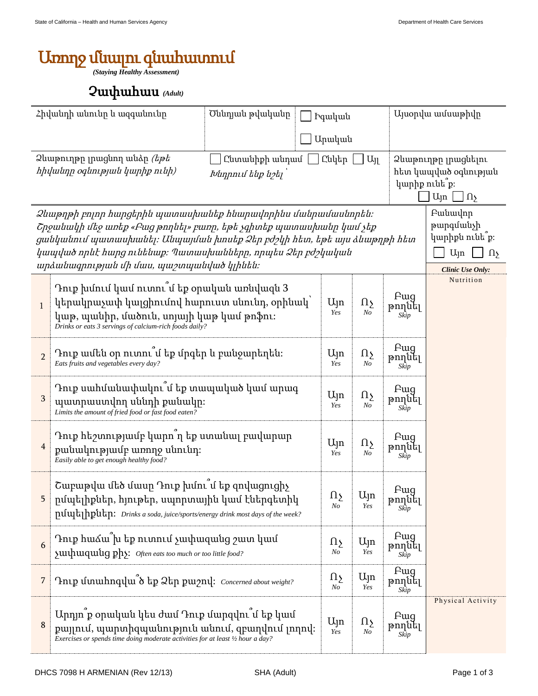## Առողջ մնալու գնահատում

*(Staying Healthy Assessment)*

## Չափահաս *(Adult)*

| Հիվանդի անունը և ազգանունը                                                                                                            |                                                                                                                                                                                                                                                                                                                                                                                                                       | Ծննդյան թվականը<br><b>Pquluu</b> u |                            |                                   | Այսօրվա ամսաթիվը              |                                                                                               |  |
|---------------------------------------------------------------------------------------------------------------------------------------|-----------------------------------------------------------------------------------------------------------------------------------------------------------------------------------------------------------------------------------------------------------------------------------------------------------------------------------------------------------------------------------------------------------------------|------------------------------------|----------------------------|-----------------------------------|-------------------------------|-----------------------------------------------------------------------------------------------|--|
|                                                                                                                                       |                                                                                                                                                                                                                                                                                                                                                                                                                       |                                    | Արական                     |                                   |                               |                                                                                               |  |
| Ձևաթուղթը լրացնող անձր <i>(եթե</i><br>Ընկեր<br>$U_{\parallel}$<br>Ընտանիքի անդամ<br>հիվանդը օգնության կարիք ունի)<br>Խնդրում ենք նշել |                                                                                                                                                                                                                                                                                                                                                                                                                       |                                    |                            |                                   |                               | Ձևաթուղթը լրացնելու<br>հետ կապված օգնության<br>կարիք ունե՞ք։<br>$U_{\parallel}$ n<br>$\Omega$ |  |
|                                                                                                                                       | Fwuwynp<br>Ձևաթղթի բոլոր հարցերին պատասխանեք հնարավորինս մանրամասնորեն։<br>թարգմանչի<br>Շրջանակի մեջ առեք «Բաց թողնել» բառը, եթե չգիտեք պատասխանը կամ չեք<br>կարիքն ունե՞ք։<br>ցանկանում պատասխանել։ Անպայման խոսեք Ձեր բժշկի հետ, եթե այս ձևաթղթի հետ<br>կապված որևէ հարց ունենաք։ Պատասխանները, որպես Ձեր բժշկական<br>U <sub>l</sub> n<br>$\Omega$<br>արձանագրության մի մաս, պաշտպանված կլինեն։<br>Clinic Use Only: |                                    |                            |                                   |                               |                                                                                               |  |
| $\mathbf{1}$                                                                                                                          | Դուք խմում կամ ուտու $\tilde{\mathfrak{u}}$ եք օրական առնվազն 3<br>կերակրաչափ կալցիումով հարուստ սնունդ, օրինակ՝<br>կաթ, պանիր, մածուն, սոյայի կաթ կամ թոֆու։<br>Drinks or eats 3 servings of calcium-rich foods daily?                                                                                                                                                                                               |                                    | Ujn<br>Yes                 | Ωչ<br>No                          | <b>F</b> ug<br>թողնել<br>Skip | Nutrition                                                                                     |  |
| $\overline{2}$                                                                                                                        | Դուք ամեն օր ուտու՞մ եք մրգեր և բանջարեղեն։<br>Eats fruits and vegetables every day?                                                                                                                                                                                                                                                                                                                                  | $U_{J}n$<br>Yes                    | Ωչ<br>No                   | F <sub>uq</sub><br>թողնել<br>Skip |                               |                                                                                               |  |
| 3                                                                                                                                     | Դուք սահմանափակու՞մ եք տապակած կամ արագ<br>պատրաստվող սննդի քանակը։<br>Limits the amount of fried food or fast food eaten?                                                                                                                                                                                                                                                                                            | Ujn<br>Yes                         | $\Omega$<br>N <sub>O</sub> | <b>F</b> ug<br>թողնել<br>Skip     |                               |                                                                                               |  |
| $\overline{4}$                                                                                                                        | Դուք հեշտությամբ կարո՞ղ եք ստանալ բավարար<br>քանակությամբ առողջ սնունդ։<br>Easily able to get enough healthy food?                                                                                                                                                                                                                                                                                                    | Ujn<br>Yes                         | $\Omega$<br>N <sub>O</sub> | <b>F</b> ug<br>թողնել<br>Skip     |                               |                                                                                               |  |
|                                                                                                                                       | Շաբաթվա մեծ մասը Դուք խմու՞մ եք զովացուցիչ<br>րմպելիքներ, հյութեր, սպորտային կամ էներգետիկ<br>pululal hpulan: Drinks a soda, juice/sports/energy drink most days of the week?                                                                                                                                                                                                                                         |                                    |                            | Ujn<br>Yes                        | Pug<br>թողսել<br>Skip         |                                                                                               |  |
| 6                                                                                                                                     | Դուք հաձա խ եք ուտում չափազանց շատ կամ<br>yuuhuuquuug phy: Often eats too much or too little food?                                                                                                                                                                                                                                                                                                                    | $\Omega_{\Sigma}$<br>No            | U <sub>Jn</sub><br>Yes     | Fwg<br>թողնել<br>Skip             |                               |                                                                                               |  |
| $\overline{7}$                                                                                                                        | Intp ununnquu δ tp 2tp puony: Concerned about weight?                                                                                                                                                                                                                                                                                                                                                                 | $\Omega$<br>N <sub>O</sub>         | U <sub>Jn</sub><br>Yes     | Pug<br>թողնել<br>Skip             |                               |                                                                                               |  |
| 8                                                                                                                                     | Արդյո՞ք օրական կես ժամ Դուք մարզվու՞մ եք կամ<br>քայլում, պարտիզպանություն անում, զբաղվում լողով։<br>Exercises or spends time doing moderate activities for at least 1/2 hour a day?                                                                                                                                                                                                                                   |                                    | Ujn<br>Yes                 | Ωչ<br>No                          | <b>F</b> ug<br>թողնել<br>Skip | Physical Activity                                                                             |  |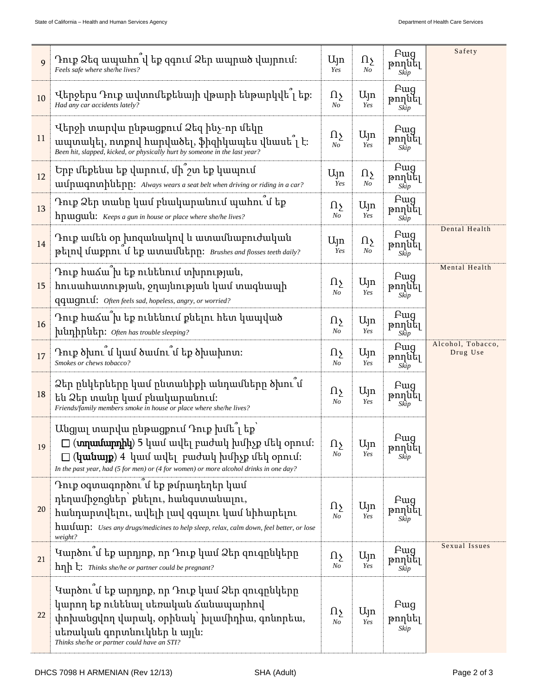| $\mathbf{Q}$ | Դուք Ձեզ ապահո վ եք զգում Ձեր ապրած վայրում։<br>Feels safe where she/he lives?                                                                                                                                                         |                                     | Ωչ<br>N <sub>O</sub>     | Fwq<br>թողնել<br>Skip         | Safety                        |
|--------------|----------------------------------------------------------------------------------------------------------------------------------------------------------------------------------------------------------------------------------------|-------------------------------------|--------------------------|-------------------------------|-------------------------------|
| 10           | Վերջերս Դուք ավտոմեքենայի վթարի ենթարկվե՞լ եք։<br>Had any car accidents lately?                                                                                                                                                        | Ωչ<br>No                            | $U_{\parallel}$ n<br>Yes | <b>F</b> ug<br>թողնել<br>Skip |                               |
| 11           | Վերջի տարվա ընթացքում Ձեզ ինչ-որ մեկը<br>ապտակել, ոտքով հարվածել, ֆիզիկապես վնասե՞լ է։<br>Been hit, slapped, kicked, or physically hurt by someone in the last year?                                                                   | $\Omega$<br>N <sub>O</sub>          | Ujn<br>Yes               | Fwq<br>թողնել<br>Skip         |                               |
| 12           | Երբ մեքենա եք վարում, մի՞շտ եք կապում<br>uufpuuqnuhutapp: Always wears a seat belt when driving or riding in a car?                                                                                                                    | $U_{\parallel}$ n<br>Yes            | Ωչ<br>N <sub>O</sub>     | <b>F</b> ug<br>թողնել<br>Skip |                               |
| 13           | Դուք Ձեր տանը կամ բնակարանում պահու՞մ եք<br>hpuguù: Keeps a gun in house or place where she/he lives?                                                                                                                                  | Ωչ<br>$N_{O}$                       | Ալո<br>Yes               | Fwq<br>թողնել<br>Skip         |                               |
| 14           | Դուք ամեն օր խոզանակով և ատամնաբուժական<br>ptiny duppni u tp uunuudutinn: Brushes and flosses teeth daily?                                                                                                                             | $U_{\parallel}$ n<br>Yes            | Ωչ<br>No                 | <b>F</b> ug<br>թողնել<br>Skip | Dental Health                 |
| 15           | Դուք հաձա խ եք ունենում տխրության,<br>hnւսահատության, ջղայնության կամ տագնապի<br>qquigniuf: Often feels sad, hopeless, angry, or worried?                                                                                              | $\Omega_{\Sigma}$<br>N <sub>o</sub> | Ujn<br>Yes               | <b>F</b> ug<br>թողնել<br>Skip | Mental Health                 |
| 16           | Դուք հաձա՞խ եք ունենում քնելու հետ կապված<br>hiunhputin: Often has trouble sleeping?                                                                                                                                                   | Ωչ<br>N <sub>O</sub>                | Ujn<br>Yes               | Fwg<br>թողնել<br>Skip         |                               |
| 17           | Դուք ծխու մ կամ ծամու մ եք ծխախոտ։<br>Smokes or chews tobacco?                                                                                                                                                                         | $\Omega_{\Sigma}$<br>N <sub>O</sub> | Ujn<br>Yes               | Fwg<br>թողնել<br>Skip         | Alcohol, Tobacco,<br>Drug Use |
| 18           | Ձեր ընկերները կամ ընտանիքի անդամները ծխու՞մ<br>են Ձեր տանը կամ բնակարանում։<br>Friends/family members smoke in house or place where she/he lives?                                                                                      | Ωչ<br>N <sub>O</sub>                | Ujn<br>Yes               | Pug<br>թողնել<br>Skip         |                               |
| 19           | Անցյալ տարվա ընթացքում Դուք խմե՞լ եք՝<br>(mnunumphu) 5 կամ ավել բաժակ խմիչք մեկ օրում։<br>( <b>կանայք</b> ) 4 կամ ավել բաժակ խմիչք մեկ օրում։<br>In the past year, had (5 for men) or (4 for women) or more alcohol drinks in one day? | Ωչ<br>$N_{O}$                       | Ujn<br>Yes               | <b>Fwg</b><br>թողնել<br>Skip  |                               |
| 20           | Դուք օգտագործու՞մ եք թմրադեղեր կամ<br>դեղամիջոցներ՝ քնելու, հանգստանալու,<br>հանդարտվելու, ավելի լավ զգալու կամ նիհարելու<br>huulup: Uses any drugs/medicines to help sleep, relax, calm down, feel better, or lose<br>weight?         | $\Omega$<br>N <sub>O</sub>          | $U_{\parallel}$ n<br>Yes | Fwg<br>թողնել<br>Skip         |                               |
| 21           | Կարծու մ եք արդյոք, որ Դուք կամ Ձեր զուգրնկերը<br>$h\eta h$ $\vdash$ : Thinks she/he or partner could be pregnant?                                                                                                                     | $\Omega_{\Sigma}$<br>N <sub>O</sub> | Ujn<br>Yes               | Pug<br>թողնել<br>Skip         | Sexual Issues                 |
| 22           | Կարծու՞մ եք արդյոք, որ Դուք կամ Ձեր զուգրնկերը<br>կարող եք ունենալ սեռական ձանապարհով<br>փոխանցվող վարակ, օրինակ՝ խլամիդիա, գոնորեա,<br>սեռական գորտնուկներ և այլն։<br>Thinks she/he or partner could have an STI?                     | $\Omega$<br>No                      | $U_{\parallel}$ n<br>Yes | Fwg<br>թողնել<br>Skip         |                               |